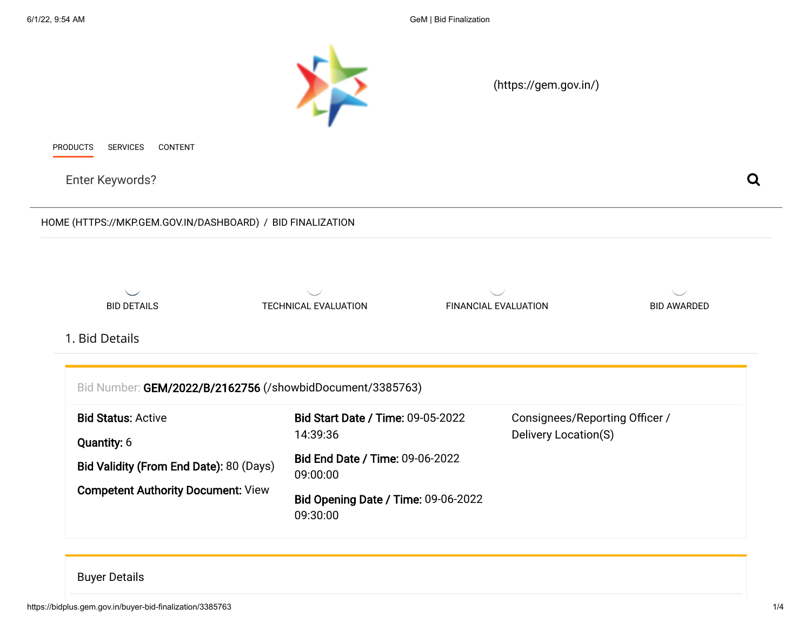6/1/22, 9:54 AM GeM | Bid Finalization



#### <span id="page-0-0"></span>Buyer Details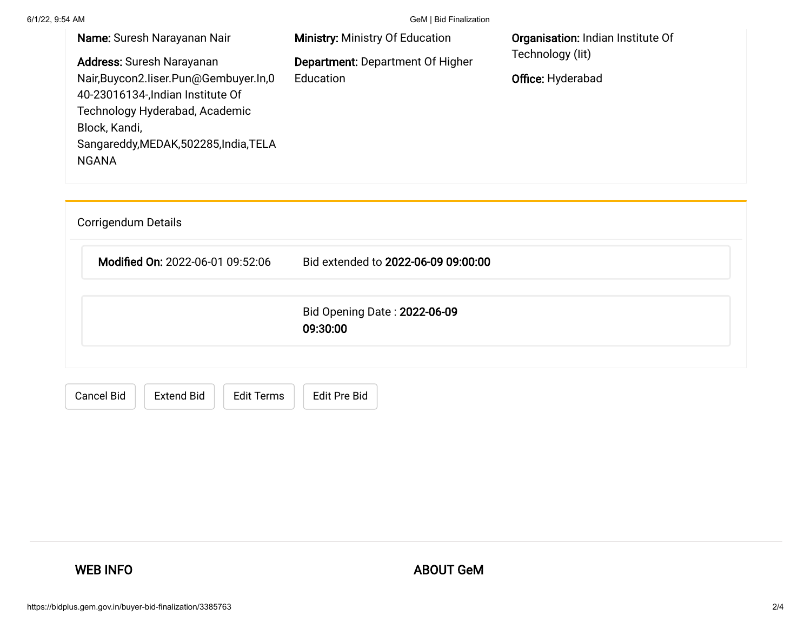6/1/22, 9:54 AM GeM | Bid Finalization

| Name: Suresh Narayanan Nair<br>Address: Suresh Narayanan<br>Nair, Buycon 2. liser. Pun@Gembuyer. In, 0<br>40-23016134-, Indian Institute Of<br>Technology Hyderabad, Academic<br>Block, Kandi,<br>Sangareddy, MEDAK, 502285, India, TELA<br><b>NGANA</b> | <b>Ministry: Ministry Of Education</b><br><b>Department: Department Of Higher</b><br>Education | Organisation: Indian Institute Of<br>Technology (lit)<br>Office: Hyderabad |
|----------------------------------------------------------------------------------------------------------------------------------------------------------------------------------------------------------------------------------------------------------|------------------------------------------------------------------------------------------------|----------------------------------------------------------------------------|
| Corrigendum Details<br>Modified On: 2022-06-01 09:52:06                                                                                                                                                                                                  | Bid extended to 2022-06-09 09:00:00                                                            |                                                                            |
|                                                                                                                                                                                                                                                          | Bid Opening Date: 2022-06-09<br>09:30:00                                                       |                                                                            |
| <b>Cancel Bid</b><br><b>Extend Bid</b><br><b>Edit Terms</b>                                                                                                                                                                                              | <b>Edit Pre Bid</b>                                                                            |                                                                            |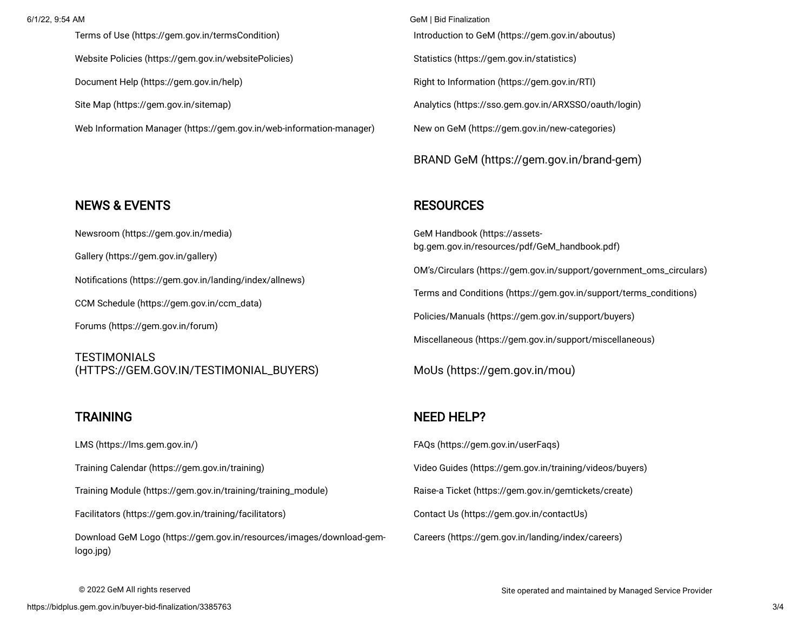[Terms of Use \(https://gem.gov.in/termsCondition\)](https://gem.gov.in/termsCondition) [Website Policies \(https://gem.gov.in/websitePolicies\)](https://gem.gov.in/websitePolicies) [Document Help \(https://gem.gov.in/help\)](https://gem.gov.in/help) [Site Map \(https://gem.gov.in/sitemap\)](https://gem.gov.in/sitemap) [Web Information Manager \(https://gem.gov.in/web-information-manager\)](https://gem.gov.in/web-information-manager)

6/1/22, 9:54 AM GeM | Bid Finalization [Introduction to GeM \(https://gem.gov.in/aboutus\)](https://gem.gov.in/aboutus) [Statistics \(https://gem.gov.in/statistics\)](https://gem.gov.in/statistics) [Right to Information \(https://gem.gov.in/RTI\)](https://gem.gov.in/RTI) [Analytics \(https://sso.gem.gov.in/ARXSSO/oauth/login\)](https://sso.gem.gov.in/ARXSSO/oauth/login) [New on GeM \(https://gem.gov.in/new-categories\)](https://gem.gov.in/new-categories)

[BRAND GeM \(https://gem.gov.in/brand-gem\)](https://gem.gov.in/brand-gem)

### **RESOURCES**

GeM Handbook (https://assets[bg.gem.gov.in/resources/pdf/GeM\\_handbook.pdf\)](https://assets-bg.gem.gov.in/resources/pdf/GeM_handbook.pdf) [OM's/Circulars \(https://gem.gov.in/support/government\\_oms\\_circulars\)](https://gem.gov.in/support/government_oms_circulars) [Terms and Conditions \(https://gem.gov.in/support/terms\\_conditions\)](https://gem.gov.in/support/terms_conditions) [Policies/Manuals \(https://gem.gov.in/support/buyers\)](https://gem.gov.in/support/buyers) [Miscellaneous \(https://gem.gov.in/support/miscellaneous\)](https://gem.gov.in/support/miscellaneous)

[MoUs \(https://gem.gov.in/mou\)](https://gem.gov.in/mou)

#### NEED HELP?

[FAQs \(https://gem.gov.in/userFaqs\)](https://gem.gov.in/userFaqs) [Video Guides \(https://gem.gov.in/training/videos/buyers\)](https://gem.gov.in/training/videos/buyers) [Raise-a Ticket \(https://gem.gov.in/gemtickets/create\)](https://gem.gov.in/gemtickets/create) [Contact Us \(https://gem.gov.in/contactUs\)](https://gem.gov.in/contactUs) [Careers \(https://gem.gov.in/landing/index/careers\)](https://gem.gov.in/landing/index/careers)

## NEWS & EVENTS

[Newsroom \(https://gem.gov.in/media\)](https://gem.gov.in/media) [Gallery \(https://gem.gov.in/gallery\)](https://gem.gov.in/gallery) [Notifications \(https://gem.gov.in/landing/index/allnews\)](https://gem.gov.in/landing/index/allnews) [CCM Schedule \(https://gem.gov.in/ccm\\_data\)](https://gem.gov.in/ccm_data) [Forums \(https://gem.gov.in/forum\)](https://gem.gov.in/forum)

**TESTIMONIALS** [\(HTTPS://GEM.GOV.IN/TESTIMONIAL\\_BUYERS\)](https://gem.gov.in/testimonial_buyers)

# **TRAINING**

[LMS \(https://lms.gem.gov.in/\)](https://lms.gem.gov.in/) [Training Calendar \(https://gem.gov.in/training\)](https://gem.gov.in/training) [Training Module \(https://gem.gov.in/training/training\\_module\)](https://gem.gov.in/training/training_module) [Facilitators \(https://gem.gov.in/training/facilitators\)](https://gem.gov.in/training/facilitators) [Download GeM Logo \(https://gem.gov.in/resources/images/download-gem](https://gem.gov.in/resources/images/download-gem-logo.jpg)logo.jpg)